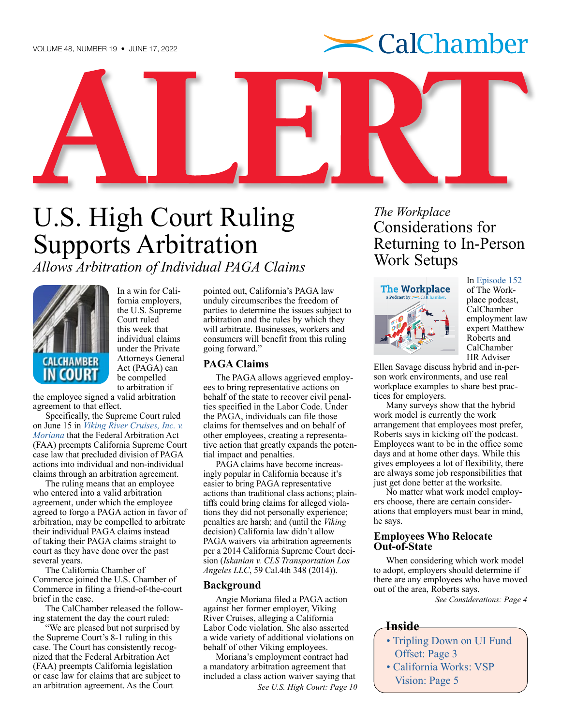

<span id="page-0-0"></span>U.S. High Court Ruling Supports Arbitration

*Allows Arbitration of Individual PAGA Claims*



In a win for California employers, the U.S. Supreme Court ruled this week that individual claims under the Private Attorneys General Act (PAGA) can be compelled to arbitration if

the employee signed a valid arbitration agreement to that effect.

Specifically, the Supreme Court ruled on June 15 in *[Viking River Cruises, Inc. v.](https://www.supremecourt.gov/opinions/21pdf/20-1573_8p6h.pdf)  [Moriana](https://www.supremecourt.gov/opinions/21pdf/20-1573_8p6h.pdf)* that the Federal Arbitration Act (FAA) preempts California Supreme Court case law that precluded division of PAGA actions into individual and non-individual claims through an arbitration agreement.

The ruling means that an employee who entered into a valid arbitration agreement, under which the employee agreed to forgo a PAGA action in favor of arbitration, may be compelled to arbitrate their individual PAGA claims instead of taking their PAGA claims straight to court as they have done over the past several years.

The California Chamber of Commerce joined the U.S. Chamber of Commerce in filing a friend-of-the-court brief in the case.

The CalChamber released the following statement the day the court ruled:

"We are pleased but not surprised by the Supreme Court's 8-1 ruling in this case. The Court has consistently recognized that the Federal Arbitration Act (FAA) preempts California legislation or case law for claims that are subject to an arbitration agreement. As the Court

pointed out, California's PAGA law unduly circumscribes the freedom of parties to determine the issues subject to arbitration and the rules by which they will arbitrate. Businesses, workers and consumers will benefit from this ruling going forward."

#### **PAGA Claims**

The PAGA allows aggrieved employees to bring representative actions on behalf of the state to recover civil penalties specified in the Labor Code. Under the PAGA, individuals can file those claims for themselves and on behalf of other employees, creating a representative action that greatly expands the potential impact and penalties.

PAGA claims have become increasingly popular in California because it's easier to bring PAGA representative actions than traditional class actions; plaintiffs could bring claims for alleged violations they did not personally experience; penalties are harsh; and (until the *Viking* decision) California law didn't allow PAGA waivers via arbitration agreements per a 2014 California Supreme Court decision (*Iskanian v. CLS Transportation Los Angeles LLC*, 59 Cal.4th 348 (2014)).

#### **Background**

Angie Moriana filed a PAGA action against her former employer, Viking River Cruises, alleging a California Labor Code violation. She also asserted a wide variety of additional violations on behalf of other Viking employees.

Moriana's employment contract had a mandatory arbitration agreement that included a class action waiver saying that *[See U.S. High Court: Page 10](#page-9-0)*

*The Workplace* Considerations for Returning to In-Person Work Setups



In [Episode 152](https://advocacy.calchamber.com/2022/06/10/considerations-best-practices-for-returning-to-in-person-work-arrangements/) of The Workplace podcast, CalChamber employment law expert Matthew Roberts and CalChamber HR Adviser

Ellen Savage discuss hybrid and in-person work environments, and use real workplace examples to share best practices for employers.

Many surveys show that the hybrid work model is currently the work arrangement that employees most prefer, Roberts says in kicking off the podcast. Employees want to be in the office some days and at home other days. While this gives employees a lot of flexibility, there are always some job responsibilities that just get done better at the worksite.

No matter what work model employers choose, there are certain considerations that employers must bear in mind, he says.

#### **Employees Who Relocate Out-of-State**

When considering which work model to adopt, employers should determine if there are any employees who have moved out of the area, Roberts says.

*[See Considerations: Page 4](#page-3-0)*

#### **Inside**

- [Tripling Down on UI Fund](#page-2-0)  [Offset: Page 3](#page-2-0)
- [California Works: VSP](#page-4-0)  [Vision: Page 5](#page-4-0)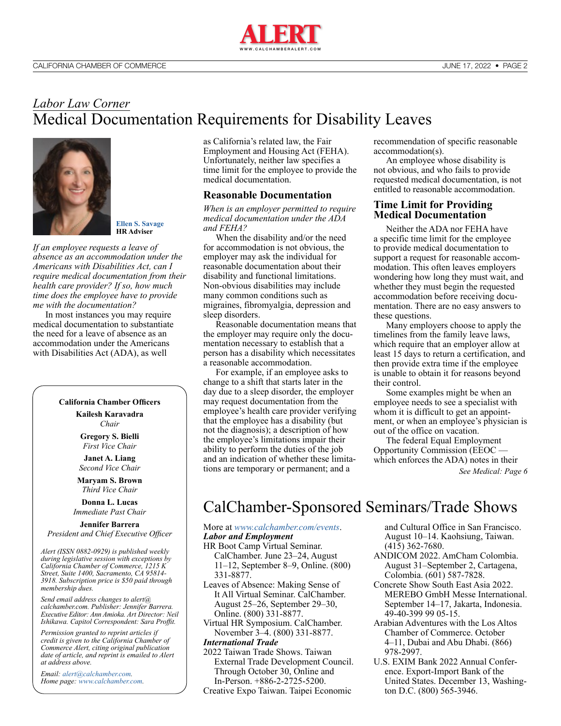

### <span id="page-1-0"></span>*Labor Law Corner* Medical Documentation Requirements for Disability Leaves



**[Ellen S. Savage](http://www.calchamber.com/hrcalifornia/labor-law-helpline/Pages/hr-advisers.aspx#ellen) HR Adviser**

*If an employee requests a leave of absence as an accommodation under the Americans with Disabilities Act, can I require medical documentation from their health care provider? If so, how much time does the employee have to provide me with the documentation?*

In most instances you may require medical documentation to substantiate the need for a leave of absence as an accommodation under the Americans with Disabilities Act (ADA), as well

#### **California Chamber Officers**

**Kailesh Karavadra** *Chair*

**Gregory S. Bielli** *First Vice Chair*

**Janet A. Liang** *Second Vice Chair*

**Maryam S. Brown** *Third Vice Chair*

**Donna L. Lucas** *Immediate Past Chair*

**Jennifer Barrera** *President and Chief Executive Officer*

*Alert (ISSN 0882-0929) is published weekly during legislative session with exceptions by California Chamber of Commerce, 1215 K Street, Suite 1400, Sacramento, CA 95814- 3918. Subscription price is \$50 paid through membership dues.* 

*Send email address changes to alert@ calchamber.com. Publisher: Jennifer Barrera. Executive Editor: Ann Amioka. Art Director: Neil Ishikawa. Capitol Correspondent: Sara Proffit.* 

*Permission granted to reprint articles if credit is given to the California Chamber of Commerce Alert, citing original publication date of article, and reprint is emailed to Alert at address above.* 

*Email: [alert@calchamber.com.](mailto:alert%40calchamber.com?subject=) Home page: [www.calchamber.com](http://www.calchamber.com).* as California's related law, the Fair Employment and Housing Act (FEHA). Unfortunately, neither law specifies a time limit for the employee to provide the medical documentation.

#### **Reasonable Documentation**

*When is an employer permitted to require medical documentation under the ADA and FEHA?*

When the disability and/or the need for accommodation is not obvious, the employer may ask the individual for reasonable documentation about their disability and functional limitations. Non-obvious disabilities may include many common conditions such as migraines, fibromyalgia, depression and sleep disorders.

Reasonable documentation means that the employer may require only the documentation necessary to establish that a person has a disability which necessitates a reasonable accommodation.

For example, if an employee asks to change to a shift that starts later in the day due to a sleep disorder, the employer may request documentation from the employee's health care provider verifying that the employee has a disability (but not the diagnosis); a description of how the employee's limitations impair their ability to perform the duties of the job and an indication of whether these limitations are temporary or permanent; and a

recommendation of specific reasonable accommodation(s).

An employee whose disability is not obvious, and who fails to provide requested medical documentation, is not entitled to reasonable accommodation.

#### **Time Limit for Providing Medical Documentation**

Neither the ADA nor FEHA have a specific time limit for the employee to provide medical documentation to support a request for reasonable accommodation. This often leaves employers wondering how long they must wait, and whether they must begin the requested accommodation before receiving documentation. There are no easy answers to these questions.

Many employers choose to apply the timelines from the family leave laws, which require that an employer allow at least 15 days to return a certification, and then provide extra time if the employee is unable to obtain it for reasons beyond their control.

Some examples might be when an employee needs to see a specialist with whom it is difficult to get an appointment, or when an employee's physician is out of the office on vacation.

The federal Equal Employment Opportunity Commission (EEOC which enforces the ADA) notes in their *[See Medical: Page 6](#page-5-0)*

## CalChamber-Sponsored Seminars/Trade Shows

#### More at *[www.calchamber.com/events](http://www.calchamber.com/events)*. *Labor and Employment*

- HR Boot Camp Virtual Seminar. CalChamber. June 23–24, August 11–12, September 8–9, Online. (800)
- 331-8877. Leaves of Absence: Making Sense of
- It All Virtual Seminar. CalChamber. August 25–26, September 29–30, Online. (800) 331-8877.
- Virtual HR Symposium. CalChamber. November 3–4. (800) 331-8877.

#### *International Trade*

- 2022 Taiwan Trade Shows. Taiwan External Trade Development Council. Through October 30, Online and In-Person. +886-2-2725-5200.
- Creative Expo Taiwan. Taipei Economic

and Cultural Office in San Francisco. August 10–14. Kaohsiung, Taiwan. (415) 362-7680.

- ANDICOM 2022. AmCham Colombia. August 31–September 2, Cartagena, Colombia. (601) 587-7828.
- Concrete Show South East Asia 2022. MEREBO GmbH Messe International. September 14–17, Jakarta, Indonesia. 49-40-399 99 05-15.
- Arabian Adventures with the Los Altos Chamber of Commerce. October 4–11, Dubai and Abu Dhabi. (866) 978-2997.
- U.S. EXIM Bank 2022 Annual Conference. Export-Import Bank of the United States. December 13, Washington D.C. (800) 565-3946.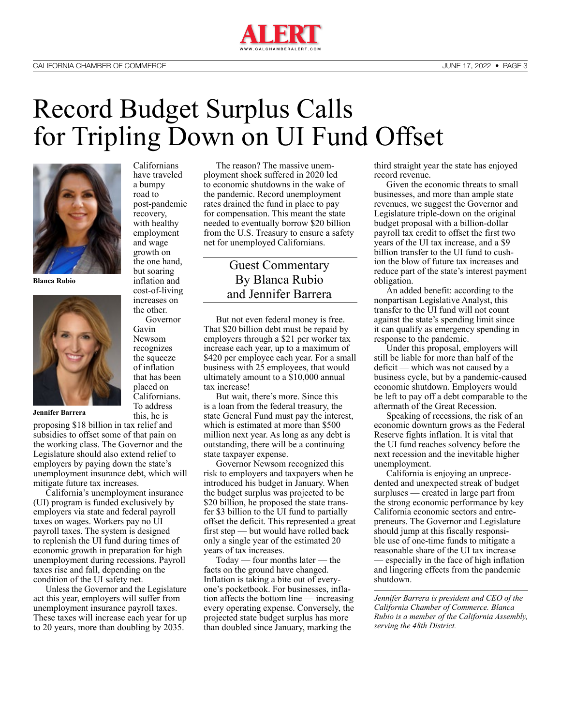

# <span id="page-2-0"></span>Record Budget Surplus Calls for Tripling Down on UI Fund Offset



**Blanca Rubio**



**Jennifer Barrera**

proposing \$18 billion in tax relief and subsidies to offset some of that pain on the working class. The Governor and the Legislature should also extend relief to employers by paying down the state's unemployment insurance debt, which will mitigate future tax increases.

California's unemployment insurance (UI) program is funded exclusively by employers via state and federal payroll taxes on wages. Workers pay no UI payroll taxes. The system is designed to replenish the UI fund during times of economic growth in preparation for high unemployment during recessions. Payroll taxes rise and fall, depending on the condition of the UI safety net.

Unless the Governor and the Legislature act this year, employers will suffer from unemployment insurance payroll taxes. These taxes will increase each year for up to 20 years, more than doubling by 2035.

Californians have traveled a bumpy road to post-pandemic recovery, with healthy employment and wage growth on the one hand, but soaring inflation and cost-of-living increases on

the other. Governor Gavin Newsom recognizes the squeeze of inflation that has been placed on Californians. To address this, he is

The reason? The massive unemployment shock suffered in 2020 led to economic shutdowns in the wake of the pandemic. Record unemployment rates drained the fund in place to pay for compensation. This meant the state needed to eventually borrow \$20 billion from the U.S. Treasury to ensure a safety net for unemployed Californians.

#### Guest Commentary By Blanca Rubio and Jennifer Barrera

But not even federal money is free. That \$20 billion debt must be repaid by employers through a \$21 per worker tax increase each year, up to a maximum of \$420 per employee each year. For a small business with 25 employees, that would ultimately amount to a \$10,000 annual tax increase!

But wait, there's more. Since this is a loan from the federal treasury, the state General Fund must pay the interest, which is estimated at more than \$500 million next year. As long as any debt is outstanding, there will be a continuing state taxpayer expense.

Governor Newsom recognized this risk to employers and taxpayers when he introduced his budget in January. When the budget surplus was projected to be \$20 billion, he proposed the state transfer \$3 billion to the UI fund to partially offset the deficit. This represented a great first step — but would have rolled back only a single year of the estimated 20 years of tax increases.

Today — four months later — the facts on the ground have changed. Inflation is taking a bite out of everyone's pocketbook. For businesses, inflation affects the bottom line — increasing every operating expense. Conversely, the projected state budget surplus has more than doubled since January, marking the

third straight year the state has enjoyed record revenue.

Given the economic threats to small businesses, and more than ample state revenues, we suggest the Governor and Legislature triple-down on the original budget proposal with a billion-dollar payroll tax credit to offset the first two years of the UI tax increase, and a \$9 billion transfer to the UI fund to cushion the blow of future tax increases and reduce part of the state's interest payment obligation.

An added benefit: according to the nonpartisan Legislative Analyst, this transfer to the UI fund will not count against the state's spending limit since it can qualify as emergency spending in response to the pandemic.

Under this proposal, employers will still be liable for more than half of the deficit — which was not caused by a business cycle, but by a pandemic-caused economic shutdown. Employers would be left to pay off a debt comparable to the aftermath of the Great Recession.

Speaking of recessions, the risk of an economic downturn grows as the Federal Reserve fights inflation. It is vital that the UI fund reaches solvency before the next recession and the inevitable higher unemployment.

California is enjoying an unprecedented and unexpected streak of budget surpluses — created in large part from the strong economic performance by key California economic sectors and entrepreneurs. The Governor and Legislature should jump at this fiscally responsible use of one-time funds to mitigate a reasonable share of the UI tax increase — especially in the face of high inflation and lingering effects from the pandemic shutdown.

*Jennifer Barrera is president and CEO of the California Chamber of Commerce. Blanca Rubio is a member of the California Assembly, serving the 48th District.*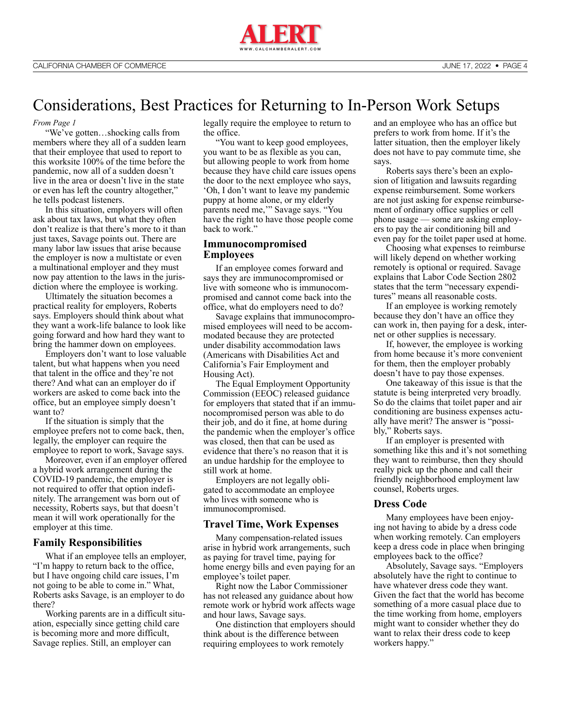

## <span id="page-3-0"></span>Considerations, Best Practices for Returning to In-Person Work Setups

#### *[From Page 1](#page-0-0)*

"We've gotten…shocking calls from members where they all of a sudden learn that their employee that used to report to this worksite 100% of the time before the pandemic, now all of a sudden doesn't live in the area or doesn't live in the state or even has left the country altogether," he tells podcast listeners.

In this situation, employers will often ask about tax laws, but what they often don't realize is that there's more to it than just taxes, Savage points out. There are many labor law issues that arise because the employer is now a multistate or even a multinational employer and they must now pay attention to the laws in the jurisdiction where the employee is working.

Ultimately the situation becomes a practical reality for employers, Roberts says. Employers should think about what they want a work-life balance to look like going forward and how hard they want to bring the hammer down on employees.

Employers don't want to lose valuable talent, but what happens when you need that talent in the office and they're not there? And what can an employer do if workers are asked to come back into the office, but an employee simply doesn't want to?

If the situation is simply that the employee prefers not to come back, then, legally, the employer can require the employee to report to work, Savage says.

Moreover, even if an employer offered a hybrid work arrangement during the COVID-19 pandemic, the employer is not required to offer that option indefinitely. The arrangement was born out of necessity, Roberts says, but that doesn't mean it will work operationally for the employer at this time.

#### **Family Responsibilities**

What if an employee tells an employer, "I'm happy to return back to the office, but I have ongoing child care issues, I'm not going to be able to come in." What, Roberts asks Savage, is an employer to do there?

Working parents are in a difficult situation, especially since getting child care is becoming more and more difficult, Savage replies. Still, an employer can

legally require the employee to return to the office.

"You want to keep good employees, you want to be as flexible as you can, but allowing people to work from home because they have child care issues opens the door to the next employee who says, 'Oh, I don't want to leave my pandemic puppy at home alone, or my elderly parents need me,'" Savage says. "You have the right to have those people come back to work."

#### **Immunocompromised Employees**

If an employee comes forward and says they are immunocompromised or live with someone who is immunocompromised and cannot come back into the office, what do employers need to do?

Savage explains that immunocompromised employees will need to be accommodated because they are protected under disability accommodation laws (Americans with Disabilities Act and California's Fair Employment and Housing Act).

The Equal Employment Opportunity Commission (EEOC) released guidance for employers that stated that if an immunocompromised person was able to do their job, and do it fine, at home during the pandemic when the employer's office was closed, then that can be used as evidence that there's no reason that it is an undue hardship for the employee to still work at home.

Employers are not legally obligated to accommodate an employee who lives with someone who is immunocompromised.

#### **Travel Time, Work Expenses**

Many compensation-related issues arise in hybrid work arrangements, such as paying for travel time, paying for home energy bills and even paying for an employee's toilet paper.

Right now the Labor Commissioner has not released any guidance about how remote work or hybrid work affects wage and hour laws, Savage says.

One distinction that employers should think about is the difference between requiring employees to work remotely

and an employee who has an office but prefers to work from home. If it's the latter situation, then the employer likely does not have to pay commute time, she says.

Roberts says there's been an explosion of litigation and lawsuits regarding expense reimbursement. Some workers are not just asking for expense reimbursement of ordinary office supplies or cell phone usage — some are asking employers to pay the air conditioning bill and even pay for the toilet paper used at home.

Choosing what expenses to reimburse will likely depend on whether working remotely is optional or required. Savage explains that Labor Code Section 2802 states that the term "necessary expenditures" means all reasonable costs.

If an employee is working remotely because they don't have an office they can work in, then paying for a desk, internet or other supplies is necessary.

If, however, the employee is working from home because it's more convenient for them, then the employer probably doesn't have to pay those expenses.

One takeaway of this issue is that the statute is being interpreted very broadly. So do the claims that toilet paper and air conditioning are business expenses actually have merit? The answer is "possibly," Roberts says.

If an employer is presented with something like this and it's not something they want to reimburse, then they should really pick up the phone and call their friendly neighborhood employment law counsel, Roberts urges.

#### **Dress Code**

Many employees have been enjoying not having to abide by a dress code when working remotely. Can employers keep a dress code in place when bringing employees back to the office?

Absolutely, Savage says. "Employers absolutely have the right to continue to have whatever dress code they want. Given the fact that the world has become something of a more casual place due to the time working from home, employers might want to consider whether they do want to relax their dress code to keep workers happy."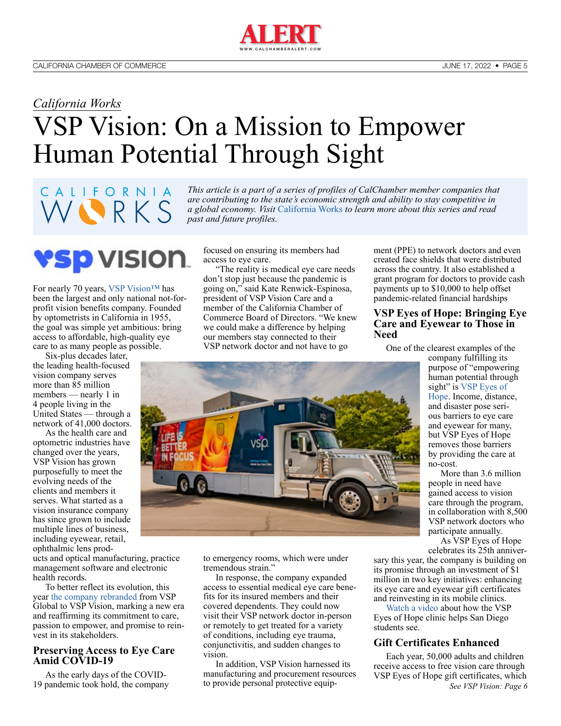## <span id="page-4-0"></span>*California Works* VSP Vision: On a Mission to Empower Human Potential Through Sight

### WORKS *a global economy. Visit* [California Works](https://advocacy.calchamber.com/california-works) *to learn more about this series and read past and future profiles.*

CALIFORNIA

YSP VISION. For nearly 70 years, [VSP Vision™](https://vspvision.com/) has been the largest and only national not-forprofit vision benefits company. Founded by optometrists in California in 1955, the goal was simple yet ambitious: bring access to affordable, high-quality eye care to as many people as possible.

Six-plus decades later, the leading health-focused vision company serves more than 85 million members — nearly 1 in 4 people living in the United States — through a network of 41,000 doctors.

As the health care and optometric industries have changed over the years, VSP Vision has grown purposefully to meet the evolving needs of the clients and members it serves. What started as a vision insurance company has since grown to include multiple lines of business, including eyewear, retail, ophthalmic lens prod-

ucts and optical manufacturing, practice management software and electronic health records.

To better reflect its evolution, this year [the company rebranded](https://newsroom.vspvision.com/news/vsp-global-rebrands-as-vsp-vision-and-unveils-new-visual-identity) from VSP Global to VSP Vision, marking a new era and reaffirming its commitment to care, passion to empower, and promise to reinvest in its stakeholders.

#### **Preserving Access to Eye Care Amid COVID-19**

As the early days of the COVID-19 pandemic took hold, the company focused on ensuring its members had access to eye care.

*This article is a part of a series of profiles of CalChamber member companies that are contributing to the state's economic strength and ability to stay competitive in* 

"The reality is medical eye care needs don't stop just because the pandemic is going on," said Kate Renwick-Espinosa, president of VSP Vision Care and a member of the California Chamber of Commerce Board of Directors. "We knew we could make a difference by helping our members stay connected to their VSP network doctor and not have to go



to emergency rooms, which were under tremendous strain."

In response, the company expanded access to essential medical eye care benefits for its insured members and their covered dependents. They could now visit their VSP network doctor in-person or remotely to get treated for a variety of conditions, including eye trauma, conjunctivitis, and sudden changes to vision.

In addition, VSP Vision harnessed its manufacturing and procurement resources to provide personal protective equipment (PPE) to network doctors and even created face shields that were distributed across the country. It also established a grant program for doctors to provide cash payments up to \$10,000 to help offset pandemic-related financial hardships

#### **VSP Eyes of Hope: Bringing Eye Care and Eyewear to Those in Need**

One of the clearest examples of the

company fulfilling its purpose of "empowering human potential through sight" is VSP Eyes of [Hope](https://www.vspvision.com/cms/vspglobal-outreach/home.html). Income, distance, and disaster pose serious barriers to eye care and eyewear for many, but VSP Eyes of Hope removes those barriers by providing the care at no-cost.

More than 3.6 million people in need have gained access to vision care through the program, in collaboration with 8,500 VSP network doctors who participate annually.

As VSP Eyes of Hope celebrates its 25th anniver-

sary this year, the company is building on its promise through an investment of \$1 million in two key initiatives: enhancing its eye care and eyewear gift certificates and reinvesting in its mobile clinics.

[Watch a video a](https://youtu.be/Am2aJlv39Ws)bout how the VSP Eyes of Hope clinic helps San Diego students see.

#### **Gift Certificates Enhanced**

Each year, 50,000 adults and children receive access to free vision care through VSP Eyes of Hope gift certificates, which *[See VSP Vision: Page 6](#page-5-0)*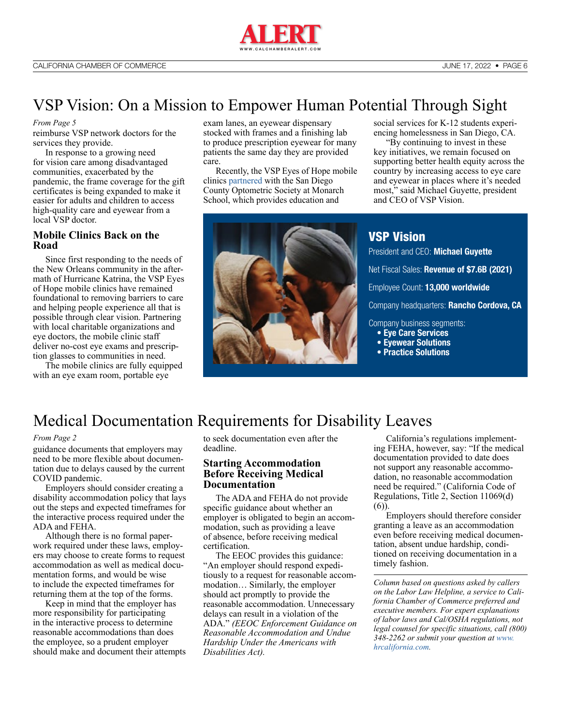

## <span id="page-5-0"></span>VSP Vision: On a Mission to Empower Human Potential Through Sight

#### *[From Page 5](#page-4-0)*

reimburse VSP network doctors for the services they provide.

In response to a growing need for vision care among disadvantaged communities, exacerbated by the pandemic, the frame coverage for the gift certificates is being expanded to make it easier for adults and children to access high-quality care and eyewear from a local VSP doctor.

#### **Mobile Clinics Back on the Road**

Since first responding to the needs of the New Orleans community in the aftermath of Hurricane Katrina, the VSP Eyes of Hope mobile clinics have remained foundational to removing barriers to care and helping people experience all that is possible through clear vision. Partnering with local charitable organizations and eye doctors, the mobile clinic staff deliver no-cost eye exams and prescription glasses to communities in need.

The mobile clinics are fully equipped with an eye exam room, portable eye

exam lanes, an eyewear dispensary stocked with frames and a finishing lab to produce prescription eyewear for many patients the same day they are provided care.

Recently, the VSP Eyes of Hope mobile clinics [partnered](https://www.kpbs.org/news/local/2022/03/16/students-who-are-unhoused-get-a-gleam-of-hope-in-their-eyes) with the San Diego County Optometric Society at Monarch School, which provides education and



social services for K-12 students experiencing homelessness in San Diego, CA.

"By continuing to invest in these key initiatives, we remain focused on supporting better health equity across the country by increasing access to eye care and eyewear in places where it's needed most," said Michael Guyette, president and CEO of VSP Vision.

[VSP Vision](https://www.vsp.com/) President and CEO: **Michael Guyette** Net Fiscal Sales: **Revenue of \$7.6B (2021)** Employee Count: **13,000 worldwide** Company headquarters: **Rancho Cordova, CA** Company business segments: **• Eye Care Services**

- **Eyewear Solutions**
- **Practice Solutions**
- 

## Medical Documentation Requirements for Disability Leaves

#### *[From Page 2](#page-1-0)*

guidance documents that employers may need to be more flexible about documentation due to delays caused by the current COVID pandemic.

Employers should consider creating a disability accommodation policy that lays out the steps and expected timeframes for the interactive process required under the ADA and FEHA.

Although there is no formal paperwork required under these laws, employers may choose to create forms to request accommodation as well as medical documentation forms, and would be wise to include the expected timeframes for returning them at the top of the forms.

Keep in mind that the employer has more responsibility for participating in the interactive process to determine reasonable accommodations than does the employee, so a prudent employer should make and document their attempts to seek documentation even after the deadline.

#### **Starting Accommodation Before Receiving Medical Documentation**

The ADA and FEHA do not provide specific guidance about whether an employer is obligated to begin an accommodation, such as providing a leave of absence, before receiving medical certification.

The EEOC provides this guidance: "An employer should respond expeditiously to a request for reasonable accommodation… Similarly, the employer should act promptly to provide the reasonable accommodation. Unnecessary delays can result in a violation of the ADA." *(EEOC Enforcement Guidance on Reasonable Accommodation and Undue Hardship Under the Americans with Disabilities Act).*

California's regulations implementing FEHA, however, say: "If the medical documentation provided to date does not support any reasonable accommodation, no reasonable accommodation need be required." (California Code of Regulations, Title 2, Section 11069(d) (6)).

Employers should therefore consider granting a leave as an accommodation even before receiving medical documentation, absent undue hardship, conditioned on receiving documentation in a timely fashion.

*Column based on questions asked by callers on the Labor Law Helpline, a service to California Chamber of Commerce preferred and executive members. For expert explanations of labor laws and Cal/OSHA regulations, not legal counsel for specific situations, call (800) 348-2262 or submit your question at [www.](http://www.hrcalifornia.com) [hrcalifornia.com](http://www.hrcalifornia.com).*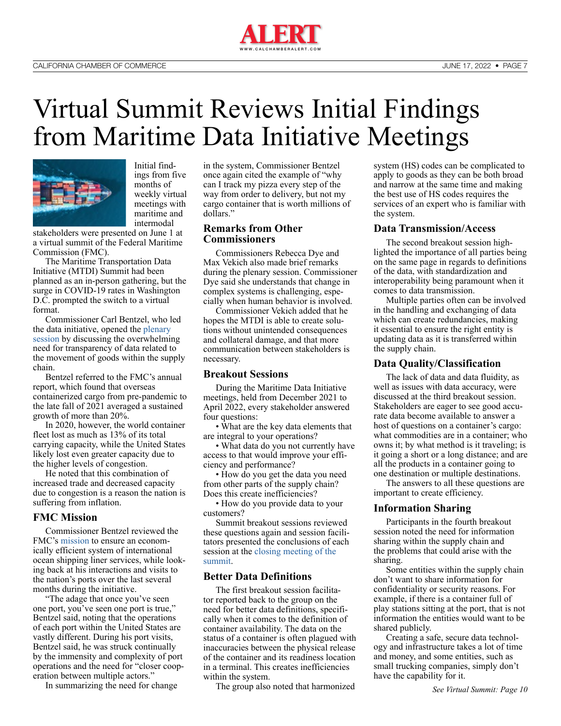

# <span id="page-6-0"></span>Virtual Summit Reviews Initial Findings from Maritime Data Initiative Meetings



Initial findings from five months of weekly virtual meetings with maritime and intermodal

stakeholders were presented on June 1 at a virtual summit of the Federal Maritime Commission (FMC).

The Maritime Transportation Data Initiative (MTDI) Summit had been planned as an in-person gathering, but the surge in COVID-19 rates in Washington D.C. prompted the switch to a virtual format.

Commissioner Carl Bentzel, who led the data initiative, opened the [plenary](https://www.youtube.com/watch?v=AfZLSqmUSq8)  [session](https://www.youtube.com/watch?v=AfZLSqmUSq8) by discussing the overwhelming need for transparency of data related to the movement of goods within the supply chain.

Bentzel referred to the FMC's annual report, which found that overseas containerized cargo from pre-pandemic to the late fall of 2021 averaged a sustained growth of more than 20%.

In 2020, however, the world container fleet lost as much as 13% of its total carrying capacity, while the United States likely lost even greater capacity due to the higher levels of congestion.

He noted that this combination of increased trade and decreased capacity due to congestion is a reason the nation is suffering from inflation.

#### **FMC Mission**

Commissioner Bentzel reviewed the FMC's [mission](https://www.fmc.gov/about-the-fmc/) to ensure an economically efficient system of international ocean shipping liner services, while looking back at his interactions and visits to the nation's ports over the last several months during the initiative.

"The adage that once you've seen one port, you've seen one port is true," Bentzel said, noting that the operations of each port within the United States are vastly different. During his port visits, Bentzel said, he was struck continually by the immensity and complexity of port operations and the need for "closer cooperation between multiple actors."

In summarizing the need for change

in the system, Commissioner Bentzel once again cited the example of "why can I track my pizza every step of the way from order to delivery, but not my cargo container that is worth millions of dollars."

#### **Remarks from Other Commissioners**

Commissioners Rebecca Dye and Max Vekich also made brief remarks during the plenary session. Commissioner Dye said she understands that change in complex systems is challenging, especially when human behavior is involved.

Commissioner Vekich added that he hopes the MTDI is able to create solutions without unintended consequences and collateral damage, and that more communication between stakeholders is necessary.

#### **Breakout Sessions**

During the Maritime Data Initiative meetings, held from December 2021 to April 2022, every stakeholder answered four questions:

• What are the key data elements that are integral to your operations?

• What data do you not currently have access to that would improve your efficiency and performance?

• How do you get the data you need from other parts of the supply chain? Does this create inefficiencies?

• How do you provide data to your customers?

Summit breakout sessions reviewed these questions again and session facilitators presented the conclusions of each session at the [closing meeting of the](https://www.youtube.com/watch?v=3quie34wrEw)  [summit](https://www.youtube.com/watch?v=3quie34wrEw).

#### **Better Data Definitions**

The first breakout session facilitator reported back to the group on the need for better data definitions, specifically when it comes to the definition of container availability. The data on the status of a container is often plagued with inaccuracies between the physical release of the container and its readiness location in a terminal. This creates inefficiencies within the system.

The group also noted that harmonized

system (HS) codes can be complicated to apply to goods as they can be both broad and narrow at the same time and making the best use of HS codes requires the services of an expert who is familiar with the system.

#### **Data Transmission/Access**

The second breakout session highlighted the importance of all parties being on the same page in regards to definitions of the data, with standardization and interoperability being paramount when it comes to data transmission.

Multiple parties often can be involved in the handling and exchanging of data which can create redundancies, making it essential to ensure the right entity is updating data as it is transferred within the supply chain.

#### **Data Quality/Classification**

The lack of data and data fluidity, as well as issues with data accuracy, were discussed at the third breakout session. Stakeholders are eager to see good accurate data become available to answer a host of questions on a container's cargo: what commodities are in a container; who owns it; by what method is it traveling; is it going a short or a long distance; and are all the products in a container going to one destination or multiple destinations.

The answers to all these questions are important to create efficiency.

#### **Information Sharing**

Participants in the fourth breakout session noted the need for information sharing within the supply chain and the problems that could arise with the sharing.

Some entities within the supply chain don't want to share information for confidentiality or security reasons. For example, if there is a container full of play stations sitting at the port, that is not information the entities would want to be shared publicly.

Creating a safe, secure data technology and infrastructure takes a lot of time and money, and some entities, such as small trucking companies, simply don't have the capability for it.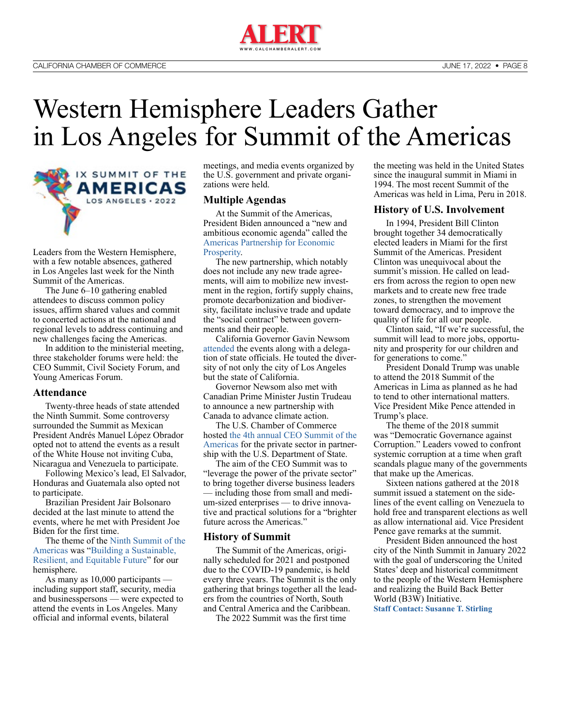

## Western Hemisphere Leaders Gather in Los Angeles for Summit of the Americas



Leaders from the Western Hemisphere, with a few notable absences, gathered in Los Angeles last week for the Ninth Summit of the Americas.

The June 6–10 gathering enabled attendees to discuss common policy issues, affirm shared values and commit to concerted actions at the national and regional levels to address continuing and new challenges facing the Americas.

In addition to the ministerial meeting, three stakeholder forums were held: the CEO Summit, Civil Society Forum, and Young Americas Forum.

#### **Attendance**

Twenty-three heads of state attended the Ninth Summit. Some controversy surrounded the Summit as Mexican President Andrés Manuel López Obrador opted not to attend the events as a result of the White House not inviting Cuba, Nicaragua and Venezuela to participate.

Following Mexico's lead, El Salvador, Honduras and Guatemala also opted not to participate.

Brazilian President Jair Bolsonaro decided at the last minute to attend the events, where he met with President Joe Biden for the first time.

The theme of the [Ninth Summit of the](https://www.ixsummitamericas.org/)  [Americas](https://www.ixsummitamericas.org/) was ["Building a Sustainable,](https://www.state.gov/summit-of-the-americas/)  [Resilient, and Equitable Future](https://www.state.gov/summit-of-the-americas/)" for our hemisphere.

As many as 10,000 participants including support staff, security, media and businesspersons — were expected to attend the events in Los Angeles. Many official and informal events, bilateral

meetings, and media events organized by the U.S. government and private organizations were held.

#### **Multiple Agendas**

At the Summit of the Americas, President Biden announced a "new and ambitious economic agenda" called the [Americas Partnership for Economic](https://www.whitehouse.gov/briefing-room/statements-releases/2022/06/08/fact-sheet-president-biden-announces-the-americas-partnership-for-economic-prosperity/)  [Prosperity](https://www.whitehouse.gov/briefing-room/statements-releases/2022/06/08/fact-sheet-president-biden-announces-the-americas-partnership-for-economic-prosperity/).

The new partnership, which notably does not include any new trade agreements, will aim to mobilize new investment in the region, fortify supply chains, promote decarbonization and biodiversity, facilitate inclusive trade and update the "social contract" between governments and their people.

California Governor Gavin Newsom [attended](https://www.gov.ca.gov/2022/06/10/recap-california-on-the-world-stage-at-summit-of-the-americas/) the events along with a delegation of state officials. He touted the diversity of not only the city of Los Angeles but the state of California.

Governor Newsom also met with Canadian Prime Minister Justin Trudeau to announce a new partnership with Canada to advance climate action.

The U.S. Chamber of Commerce hosted [the 4th annual CEO Summit of the](https://www.uschamber.com/summit-of-the-americas/ceo-summit)  [Americas](https://www.uschamber.com/summit-of-the-americas/ceo-summit) for the private sector in partnership with the U.S. Department of State.

The aim of the CEO Summit was to "leverage the power of the private sector" to bring together diverse business leaders — including those from small and medium-sized enterprises — to drive innovative and practical solutions for a "brighter future across the Americas."

#### **History of Summit**

The Summit of the Americas, originally scheduled for 2021 and postponed due to the COVID-19 pandemic, is held every three years. The Summit is the only gathering that brings together all the leaders from the countries of North, South and Central America and the Caribbean.

The 2022 Summit was the first time

the meeting was held in the United States since the inaugural summit in Miami in 1994. The most recent Summit of the Americas was held in Lima, Peru in 2018.

#### **History of U.S. Involvement**

In 1994, President Bill Clinton brought together 34 democratically elected leaders in Miami for the first Summit of the Americas. President Clinton was unequivocal about the summit's mission. He called on leaders from across the region to open new markets and to create new free trade zones, to strengthen the movement toward democracy, and to improve the quality of life for all our people.

Clinton said, "If we're successful, the summit will lead to more jobs, opportunity and prosperity for our children and for generations to come."

President Donald Trump was unable to attend the 2018 Summit of the Americas in Lima as planned as he had to tend to other international matters. Vice President Mike Pence attended in Trump's place.

The theme of the 2018 summit was "Democratic Governance against Corruption." Leaders vowed to confront systemic corruption at a time when graft scandals plague many of the governments that make up the Americas.

Sixteen nations gathered at the 2018 summit issued a statement on the sidelines of the event calling on Venezuela to hold free and transparent elections as well as allow international aid. Vice President Pence gave remarks at the summit.

President Biden announced the host city of the Ninth Summit in January 2022 with the goal of underscoring the United States' deep and historical commitment to the people of the Western Hemisphere and realizing the Build Back Better World (B3W) Initiative.

**[Staff Contact: Susanne T. Stirling](https://advocacy.calchamber.com/bios/susanne-stirling/)**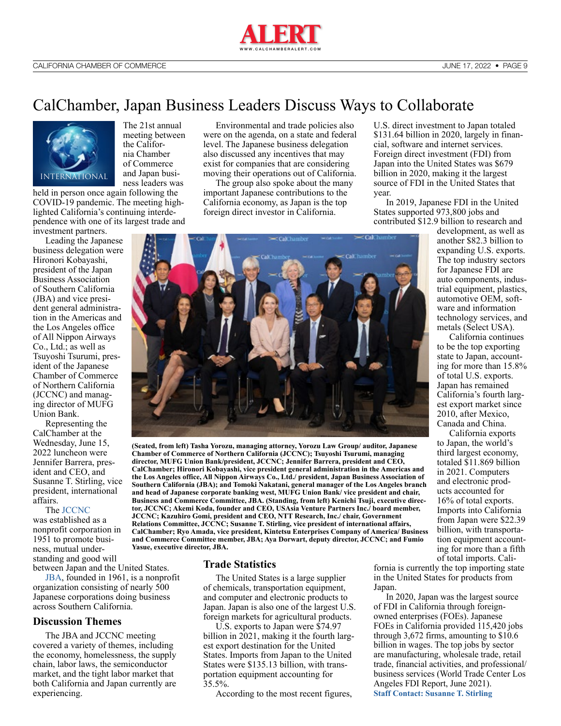

## CalChamber, Japan Business Leaders Discuss Ways to Collaborate



The 21st annual meeting between the California Chamber of Commerce and Japan business leaders was

held in person once again following the COVID-19 pandemic. The meeting highlighted California's continuing interdependence with one of its largest trade and

investment partners. Leading the Japanese business delegation were Hironori Kobayashi, president of the Japan Business Association of Southern California (JBA) and vice president general administration in the Americas and the Los Angeles office of All Nippon Airways Co., Ltd.; as well as Tsuyoshi Tsurumi, president of the Japanese Chamber of Commerce of Northern California (JCCNC) and managing director of MUFG Union Bank.

Representing the CalChamber at the Wednesday, June 15, 2022 luncheon were Jennifer Barrera, president and CEO, and Susanne T. Stirling, vice president, international affairs.

#### The [JCCNC](https://www.jccnc.org/?lang=en)

was established as a nonprofit corporation in 1951 to promote business, mutual understanding and good will

between Japan and the United States. [JBA](https://www.jba.org/), founded in 1961, is a nonprofit organization consisting of nearly 500 Japanese corporations doing business

across Southern California.

#### **Discussion Themes**

The JBA and JCCNC meeting covered a variety of themes, including the economy, homelessness, the supply chain, labor laws, the semiconductor market, and the tight labor market that both California and Japan currently are experiencing.

Environmental and trade policies also were on the agenda, on a state and federal level. The Japanese business delegation also discussed any incentives that may exist for companies that are considering moving their operations out of California.

The group also spoke about the many important Japanese contributions to the California economy, as Japan is the top foreign direct investor in California.

U.S. direct investment to Japan totaled \$131.64 billion in 2020, largely in financial, software and internet services. Foreign direct investment (FDI) from Japan into the United States was \$679 billion in 2020, making it the largest source of FDI in the United States that year.

In 2019, Japanese FDI in the United States supported 973,800 jobs and contributed \$12.9 billion to research and

development, as well as another \$82.3 billion to expanding U.S. exports. The top industry sectors for Japanese FDI are auto components, industrial equipment, plastics, automotive OEM, software and information technology services, and metals (Select USA).

California continues to be the top exporting state to Japan, accounting for more than 15.8% of total U.S. exports. Japan has remained California's fourth largest export market since 2010, after Mexico, Canada and China.

California exports to Japan, the world's third largest economy, totaled \$11.869 billion in 2021. Computers and electronic products accounted for 16% of total exports. Imports into California from Japan were \$22.39 billion, with transportation equipment accounting for more than a fifth of total imports. Cali-

**Business and Commerce Committee, JBA. (Standing, from left) Kenichi Tsuji, executive director, JCCNC; Akemi Koda, founder and CEO, USAsia Venture Partners Inc./ board member, JCCNC; Kazuhiro Gomi, president and CEO, NTT Research, Inc./ chair, Government Relations Committee, JCCNC; Susanne T. Stirling, vice president of international affairs, CalChamber; Ryo Amada, vice president, Kintetsu Enterprises Company of America/ Business and Commerce Committee member, JBA; Aya Dorwart, deputy director, JCCNC; and Fumio Yasue, executive director, JBA.**

**(Seated, from left) Tasha Yorozu, managing attorney, Yorozu Law Group/ auditor, Japanese Chamber of Commerce of Northern California (JCCNC); Tsuyoshi Tsurumi, managing director, MUFG Union Bank/president, JCCNC; Jennifer Barrera, president and CEO, CalChamber; Hironori Kobayashi, vice president general administration in the Americas and the Los Angeles office, All Nippon Airways Co., Ltd./ president, Japan Business Association of Southern California (JBA); and Tomoki Nakatani, general manager of the Los Angeles branch and head of Japanese corporate banking west, MUFG Union Bank/ vice president and chair,** 

#### **Trade Statistics**

The United States is a large supplier of chemicals, transportation equipment, and computer and electronic products to Japan. Japan is also one of the largest U.S. foreign markets for agricultural products.

U.S. exports to Japan were \$74.97 billion in 2021, making it the fourth largest export destination for the United States. Imports from Japan to the United States were \$135.13 billion, with transportation equipment accounting for 35.5%.

According to the most recent figures,

fornia is currently the top importing state in the United States for products from Japan.

In 2020, Japan was the largest source of FDI in California through foreignowned enterprises (FOEs). Japanese FOEs in California provided 115,420 jobs through 3,672 firms, amounting to \$10.6 billion in wages. The top jobs by sector are manufacturing, wholesale trade, retail trade, financial activities, and professional/ business services (World Trade Center Los Angeles FDI Report, June 2021). **[Staff Contact: Susanne T. Stirling](https://advocacy.calchamber.com/bios/susanne-stirling/)**

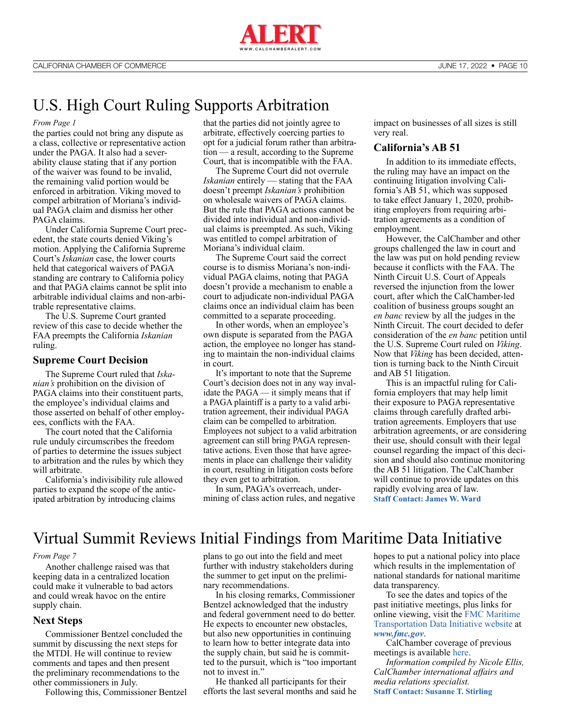

## <span id="page-9-0"></span>U.S. High Court Ruling Supports Arbitration

#### *[From Page 1](#page-0-0)*

the parties could not bring any dispute as a class, collective or representative action under the PAGA. It also had a severability clause stating that if any portion of the waiver was found to be invalid, the remaining valid portion would be enforced in arbitration. Viking moved to compel arbitration of Moriana's individual PAGA claim and dismiss her other PAGA claims.

Under California Supreme Court precedent, the state courts denied Viking's motion. Applying the California Supreme Court's *Iskanian* case, the lower courts held that categorical waivers of PAGA standing are contrary to California policy and that PAGA claims cannot be split into arbitrable individual claims and non-arbitrable representative claims.

The U.S. Supreme Court granted review of this case to decide whether the FAA preempts the California *Iskanian* ruling.

#### **Supreme Court Decision**

The Supreme Court ruled that *Iskanian's* prohibition on the division of PAGA claims into their constituent parts, the employee's individual claims and those asserted on behalf of other employees, conflicts with the FAA.

The court noted that the California rule unduly circumscribes the freedom of parties to determine the issues subject to arbitration and the rules by which they will arbitrate.

California's indivisibility rule allowed parties to expand the scope of the anticipated arbitration by introducing claims

that the parties did not jointly agree to arbitrate, effectively coercing parties to opt for a judicial forum rather than arbitration — a result, according to the Supreme Court, that is incompatible with the FAA.

The Supreme Court did not overrule *Iskanian* entirely — stating that the FAA doesn't preempt *Iskanian's* prohibition on wholesale waivers of PAGA claims. But the rule that PAGA actions cannot be divided into individual and non-individual claims is preempted. As such, Viking was entitled to compel arbitration of Moriana's individual claim.

The Supreme Court said the correct course is to dismiss Moriana's non-individual PAGA claims, noting that PAGA doesn't provide a mechanism to enable a court to adjudicate non-individual PAGA claims once an individual claim has been committed to a separate proceeding.

In other words, when an employee's own dispute is separated from the PAGA action, the employee no longer has standing to maintain the non-individual claims in court.

It's important to note that the Supreme Court's decision does not in any way invalidate the PAGA — it simply means that if a PAGA plaintiff is a party to a valid arbitration agreement, their individual PAGA claim can be compelled to arbitration. Employees not subject to a valid arbitration agreement can still bring PAGA representative actions. Even those that have agreements in place can challenge their validity in court, resulting in litigation costs before they even get to arbitration.

In sum, PAGA's overreach, undermining of class action rules, and negative impact on businesses of all sizes is still very real.

#### **California's AB 51**

In addition to its immediate effects, the ruling may have an impact on the continuing litigation involving California's AB 51, which was supposed to take effect January 1, 2020, prohibiting employers from requiring arbitration agreements as a condition of employment.

However, the CalChamber and other groups challenged the law in court and the law was put on hold pending review because it conflicts with the FAA. The Ninth Circuit U.S. Court of Appeals reversed the injunction from the lower court, after which the CalChamber-led coalition of business groups sought an *en banc* review by all the judges in the Ninth Circuit. The court decided to defer consideration of the *en banc* petition until the U.S. Supreme Court ruled on *Viking*. Now that *Viking* has been decided, attention is turning back to the Ninth Circuit and AB 51 litigation.

This is an impactful ruling for California employers that may help limit their exposure to PAGA representative claims through carefully drafted arbitration agreements. Employers that use arbitration agreements, or are considering their use, should consult with their legal counsel regarding the impact of this decision and should also continue monitoring the AB 51 litigation. The CalChamber will continue to provide updates on this rapidly evolving area of law. **[Staff Contact: James W. Ward](https://advocacy.calchamber.com/bios/james-w-ward/)**

### Virtual Summit Reviews Initial Findings from Maritime Data Initiative

#### *[From Page 7](#page-6-0)*

Another challenge raised was that keeping data in a centralized location could make it vulnerable to bad actors and could wreak havoc on the entire supply chain.

#### **Next Steps**

Commissioner Bentzel concluded the summit by discussing the next steps for the MTDI. He will continue to review comments and tapes and then present the preliminary recommendations to the other commissioners in July.

Following this, Commissioner Bentzel

plans to go out into the field and meet further with industry stakeholders during the summer to get input on the preliminary recommendations.

In his closing remarks, Commissioner Bentzel acknowledged that the industry and federal government need to do better. He expects to encounter new obstacles, but also new opportunities in continuing to learn how to better integrate data into the supply chain, but said he is committed to the pursuit, which is "too important not to invest in."

He thanked all participants for their efforts the last several months and said he hopes to put a national policy into place which results in the implementation of national standards for national maritime data transparency.

To see the dates and topics of the past initiative meetings, plus links for online viewing, visit the [FMC Maritime](https://www.fmc.gov/fmc-maritime-transportation-data-initiative/)  [Transportation Data Initiative website](https://www.fmc.gov/fmc-maritime-transportation-data-initiative/) at *[www.fmc.gov](http://www.fmc.gov/)*.

CalChamber coverage of previous meetings is available [here.](https://calchamberalert.com/tag/fmc-data-initiative/)

*Information compiled by Nicole Ellis, CalChamber international affairs and media relations specialist.* **[Staff Contact: Susanne T. Stirling](https://advocacy.calchamber.com/bios/susanne-stirling/)**